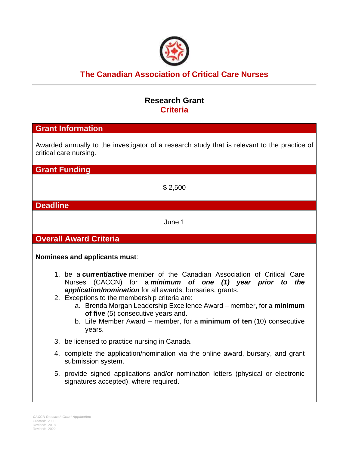

# **The Canadian Association of Critical Care Nurses**

## **Research Grant Criteria**

## **Grant Information**

Awarded annually to the investigator of a research study that is relevant to the practice of critical care nursing.

**Grant Funding**

\$ 2,500

**Deadline**

June 1

**Overall Award Criteria**

**Nominees and applicants must**:

- 1. be a **current/active** member of the Canadian Association of Critical Care Nurses (CACCN) for a *minimum of one (1) year prior to the application/nomination* for all awards, bursaries, grants.
- 2. Exceptions to the membership criteria are:
	- a. Brenda Morgan Leadership Excellence Award member, for a **minimum of five** (5) consecutive years and.
	- b. Life Member Award member, for a **minimum of ten** (10) consecutive years.
- 3. be licensed to practice nursing in Canada.
- 4. complete the application/nomination via the online award, bursary, and grant submission system.
- 5. provide signed applications and/or nomination letters (physical or electronic signatures accepted), where required.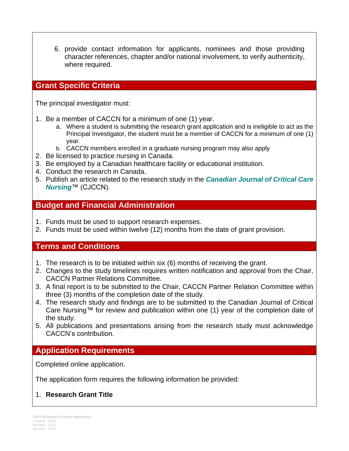6. provide contact information for applicants, nominees and those providing character references, chapter and/or national involvement, to verify authenticity, where required.

## **Grant Specific Criteria**

The principal investigator must:

- 1. Be a member of CACCN for a minimum of one (1) year.
	- a. Where a student is submitting the research grant application and is ineligible to act as the Principal Investigator, the student must be a member of CACCN for a minimum of one (1) year.
	- b. CACCN members enrolled in a graduate nursing program may also apply
- 2. Be licensed to practice nursing in Canada.
- 3. Be employed by a Canadian healthcare facility or educational institution.
- 4. Conduct the research in Canada.
- 5. Publish an article related to the research study in the *Canadian Journal of Critical Care Nursing*™ (CJCCN).

#### **Budget and Financial Administration**

- 1. Funds must be used to support research expenses.
- 2. Funds must be used within twelve (12) months from the date of grant provision.

#### **Terms and Conditions**

- 1. The research is to be initiated within six (6) months of receiving the grant.
- 2. Changes to the study timelines requires written notification and approval from the Chair, CACCN Partner Relations Committee.
- 3. A final report is to be submitted to the Chair, CACCN Partner Relation Committee within three (3) months of the completion date of the study.
- 4. The research study and findings are to be submitted to the Canadian Journal of Critical Care Nursing™ for review and publication within one (1) year of the completion date of the study.
- 5. All publications and presentations arising from the research study must acknowledge CACCN's contribution.

#### **Application Requirements**

Completed online application.

The application form requires the following information be provided:

#### 1. **Research Grant Title**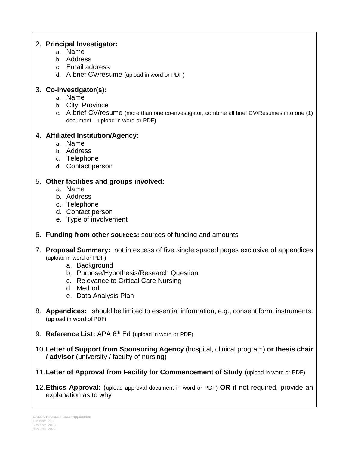#### 2. **Principal Investigator:**

- a. Name
- b. Address
- c. Email address
- d. A brief CV/resume (upload in word or PDF)

## 3. **Co-investigator(s):**

- a. Name
- b. City, Province
- c. A brief CV/resume (more than one co-investigator, combine all brief CV/Resumes into one (1) document – upload in word or PDF)

## 4. **Affiliated Institution/Agency:**

- a. Name
- b. Address
- c. Telephone
- d. Contact person

#### 5. **Other facilities and groups involved:**

- a. Name
- b. Address
- c. Telephone
- d. Contact person
- e. Type of involvement
- 6. **Funding from other sources:** sources of funding and amounts
- 7. **Proposal Summary:** not in excess of five single spaced pages exclusive of appendices (upload in word or PDF)
	- a. Background
	- b. Purpose/Hypothesis/Research Question
	- c. Relevance to Critical Care Nursing
	- d. Method
	- e. Data Analysis Plan
- 8. **Appendices:** should be limited to essential information, e.g., consent form, instruments. (upload in word of PDF)
- 9. **Reference List:** APA 6<sup>th</sup> Ed (upload in word or PDF)
- 10.**Letter of Support from Sponsoring Agency** (hospital, clinical program) **or thesis chair / advisor** (university / faculty of nursing)
- 11.**Letter of Approval from Facility for Commencement of Study** (upload in word or PDF)
- 12.**Ethics Approval:** (upload approval document in word or PDF) **OR** if not required, provide an explanation as to why